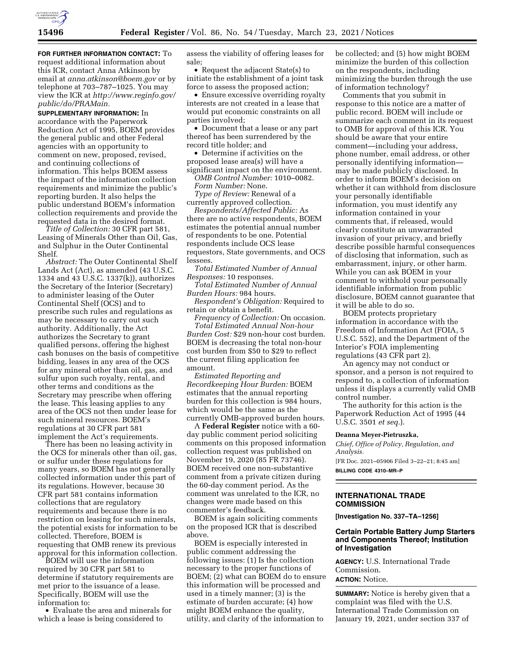

**FOR FURTHER INFORMATION CONTACT:** To request additional information about this ICR, contact Anna Atkinson by email at *[anna.atkinson@boem.gov](mailto:anna.atkinson@boem.gov)* or by telephone at 703–787–1025. You may view the ICR at *[http://www.reginfo.gov/](http://www.reginfo.gov/public/do/PRAMain)  [public/do/PRAMain.](http://www.reginfo.gov/public/do/PRAMain)* 

**SUPPLEMENTARY INFORMATION:** In accordance with the Paperwork Reduction Act of 1995, BOEM provides the general public and other Federal agencies with an opportunity to comment on new, proposed, revised, and continuing collections of information. This helps BOEM assess the impact of the information collection requirements and minimize the public's reporting burden. It also helps the public understand BOEM's information collection requirements and provide the requested data in the desired format.

*Title of Collection:* 30 CFR part 581, Leasing of Minerals Other than Oil, Gas, and Sulphur in the Outer Continental Shelf.

*Abstract:* The Outer Continental Shelf Lands Act (Act), as amended (43 U.S.C. 1334 and 43 U.S.C. 1337(k)), authorizes the Secretary of the Interior (Secretary) to administer leasing of the Outer Continental Shelf (OCS) and to prescribe such rules and regulations as may be necessary to carry out such authority. Additionally, the Act authorizes the Secretary to grant qualified persons, offering the highest cash bonuses on the basis of competitive bidding, leases in any area of the OCS for any mineral other than oil, gas, and sulfur upon such royalty, rental, and other terms and conditions as the Secretary may prescribe when offering the lease. This leasing applies to any area of the OCS not then under lease for such mineral resources. BOEM's regulations at 30 CFR part 581 implement the Act's requirements.

There has been no leasing activity in the OCS for minerals other than oil, gas, or sulfur under these regulations for many years, so BOEM has not generally collected information under this part of its regulations. However, because 30 CFR part 581 contains information collections that are regulatory requirements and because there is no restriction on leasing for such minerals, the potential exists for information to be collected. Therefore, BOEM is requesting that OMB renew its previous approval for this information collection.

BOEM will use the information required by 30 CFR part 581 to determine if statutory requirements are met prior to the issuance of a lease. Specifically, BOEM will use the information to:

• Evaluate the area and minerals for which a lease is being considered to

assess the viability of offering leases for sale;

• Request the adjacent State(s) to initiate the establishment of a joint task force to assess the proposed action;

• Ensure excessive overriding royalty interests are not created in a lease that would put economic constraints on all parties involved;

• Document that a lease or any part thereof has been surrendered by the record title holder; and

• Determine if activities on the proposed lease area(s) will have a significant impact on the environment.

*OMB Control Number:* 1010–0082. *Form Number:* None.

*Type of Review:* Renewal of a currently approved collection.

*Respondents/Affected Public:* As there are no active respondents, BOEM estimates the potential annual number of respondents to be one. Potential respondents include OCS lease requestors, State governments, and OCS lessees.

*Total Estimated Number of Annual Responses:* 10 responses.

*Total Estimated Number of Annual Burden Hours:* 984 hours.

*Respondent's Obligation:* Required to retain or obtain a benefit.

*Frequency of Collection:* On occasion. *Total Estimated Annual Non-hour Burden Cost:* \$29 non-hour cost burden. BOEM is decreasing the total non-hour cost burden from \$50 to \$29 to reflect the current filing application fee amount.

*Estimated Reporting and Recordkeeping Hour Burden:* BOEM estimates that the annual reporting burden for this collection is 984 hours, which would be the same as the currently OMB-approved burden hours.

A **Federal Register** notice with a 60 day public comment period soliciting comments on this proposed information collection request was published on November 19, 2020 (85 FR 73746). BOEM received one non-substantive comment from a private citizen during the 60-day comment period. As the comment was unrelated to the ICR, no changes were made based on this commenter's feedback.

BOEM is again soliciting comments on the proposed ICR that is described above.

BOEM is especially interested in public comment addressing the following issues: (1) Is the collection necessary to the proper functions of BOEM; (2) what can BOEM do to ensure this information will be processed and used in a timely manner; (3) is the estimate of burden accurate; (4) how might BOEM enhance the quality, utility, and clarity of the information to

be collected; and (5) how might BOEM minimize the burden of this collection on the respondents, including minimizing the burden through the use of information technology?

Comments that you submit in response to this notice are a matter of public record. BOEM will include or summarize each comment in its request to OMB for approval of this ICR. You should be aware that your entire comment—including your address, phone number, email address, or other personally identifying information may be made publicly disclosed. In order to inform BOEM's decision on whether it can withhold from disclosure your personally identifiable information, you must identify any information contained in your comments that, if released, would clearly constitute an unwarranted invasion of your privacy, and briefly describe possible harmful consequences of disclosing that information, such as embarrassment, injury, or other harm. While you can ask BOEM in your comment to withhold your personally identifiable information from public disclosure, BOEM cannot guarantee that it will be able to do so.

BOEM protects proprietary information in accordance with the Freedom of Information Act (FOIA, 5 U.S.C. 552), and the Department of the Interior's FOIA implementing regulations (43 CFR part 2).

An agency may not conduct or sponsor, and a person is not required to respond to, a collection of information unless it displays a currently valid OMB control number.

The authority for this action is the Paperwork Reduction Act of 1995 (44 U.S.C. 3501 *et seq.*).

#### **Deanna Meyer-Pietruszka,**

*Chief, Office of Policy, Regulation, and Analysis.*  [FR Doc. 2021–05906 Filed 3–22–21; 8:45 am] **BILLING CODE 4310–MR–P** 

# **INTERNATIONAL TRADE COMMISSION**

**[Investigation No. 337–TA–1256]** 

## **Certain Portable Battery Jump Starters and Components Thereof; Institution of Investigation**

**AGENCY:** U.S. International Trade Commission. **ACTION:** Notice.

**SUMMARY:** Notice is hereby given that a complaint was filed with the U.S. International Trade Commission on January 19, 2021, under section 337 of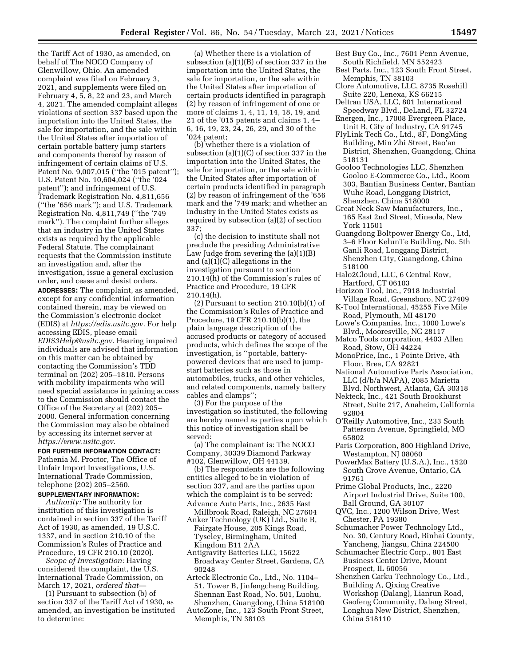the Tariff Act of 1930, as amended, on behalf of The NOCO Company of Glenwillow, Ohio. An amended complaint was filed on February 3, 2021, and supplements were filed on February 4, 5, 8, 22 and 23, and March 4, 2021. The amended complaint alleges violations of section 337 based upon the importation into the United States, the sale for importation, and the sale within the United States after importation of certain portable battery jump starters and components thereof by reason of infringement of certain claims of U.S. Patent No. 9,007,015 (''the '015 patent''); U.S. Patent No. 10,604,024 (''the '024 patent''); and infringement of U.S. Trademark Registration No. 4,811,656 (''the '656 mark''); and U.S. Trademark Registration No. 4,811,749 (''the '749 mark''). The complaint further alleges that an industry in the United States exists as required by the applicable Federal Statute. The complainant requests that the Commission institute an investigation and, after the investigation, issue a general exclusion order, and cease and desist orders.

**ADDRESSES:** The complaint, as amended, except for any confidential information contained therein, may be viewed on the Commission's electronic docket (EDIS) at *[https://edis.usitc.gov.](https://edis.usitc.gov)* For help accessing EDIS, please email *[EDIS3Help@usitc.gov.](mailto:EDIS3Help@usitc.gov)* Hearing impaired individuals are advised that information on this matter can be obtained by contacting the Commission's TDD terminal on (202) 205–1810. Persons with mobility impairments who will need special assistance in gaining access to the Commission should contact the Office of the Secretary at (202) 205– 2000. General information concerning the Commission may also be obtained by accessing its internet server at *[https://www.usitc.gov.](https://www.usitc.gov)* 

### **FOR FURTHER INFORMATION CONTACT:**

Pathenia M. Proctor, The Office of Unfair Import Investigations, U.S. International Trade Commission, telephone (202) 205–2560.

# **SUPPLEMENTARY INFORMATION:**

*Authority:* The authority for institution of this investigation is contained in section 337 of the Tariff Act of 1930, as amended, 19 U.S.C. 1337, and in section 210.10 of the Commission's Rules of Practice and Procedure, 19 CFR 210.10 (2020).

*Scope of Investigation:* Having considered the complaint, the U.S. International Trade Commission, on March 17, 2021, *ordered that*—

(1) Pursuant to subsection (b) of section 337 of the Tariff Act of 1930, as amended, an investigation be instituted to determine:

(a) Whether there is a violation of subsection (a)(1)(B) of section 337 in the importation into the United States, the sale for importation, or the sale within the United States after importation of certain products identified in paragraph (2) by reason of infringement of one or more of claims 1, 4, 11, 14, 18, 19, and 21 of the '015 patents and claims 1, 4– 6, 16, 19, 23, 24, 26, 29, and 30 of the '024 patent;

(b) whether there is a violation of subsection (a)(1)(C) of section 337 in the importation into the United States, the sale for importation, or the sale within the United States after importation of certain products identified in paragraph (2) by reason of infringement of the '656 mark and the '749 mark; and whether an industry in the United States exists as required by subsection (a)(2) of section 337;

(c) the decision to institute shall not preclude the presiding Administrative Law Judge from severing the (a)(1)(B) and (a)(1)(C) allegations in the investigation pursuant to section 210.14(h) of the Commission's rules of Practice and Procedure, 19 CFR 210.14(h).

(2) Pursuant to section  $210.10(b)(1)$  of the Commission's Rules of Practice and Procedure, 19 CFR 210.10(b)(1), the plain language description of the accused products or category of accused products, which defines the scope of the investigation, is ''portable, batterypowered devices that are used to jumpstart batteries such as those in automobiles, trucks, and other vehicles, and related components, namely battery cables and clamps'';

(3) For the purpose of the investigation so instituted, the following are hereby named as parties upon which this notice of investigation shall be served:

(a) The complainant is: The NOCO Company, 30339 Diamond Parkway #102, Glenwillow, OH 44139.

(b) The respondents are the following entities alleged to be in violation of section 337, and are the parties upon which the complaint is to be served: Advance Auto Parts, Inc., 2635 East

- Millbrook Road, Raleigh, NC 27604 Anker Technology (UK) Ltd., Suite B,
- Fairgate House, 205 Kings Road, Tyseley, Birmingham, United Kingdom B11 2AA
- Antigravity Batteries LLC, 15622 Broadway Center Street, Gardena, CA 90248
- Arteck Electronic Co., Ltd., No. 1104– 51, Tower B, Jinfengcheng Building, Shennan East Road, No. 501, Luohu, Shenzhen, Guangdong, China 518100
- AutoZone, Inc., 123 South Front Street, Memphis, TN 38103
- Best Buy Co., Inc., 7601 Penn Avenue, South Richfield, MN 552423
- Best Parts, Inc., 123 South Front Street, Memphis, TN 38103
- Clore Automotive, LLC, 8735 Rosehill Suite 220, Lenexa, KS 66215
- Deltran USA, LLC, 801 International Speedway Blvd., DeLand, FL 32724 Energen, Inc., 17008 Evergreen Place,
- Unit B, City of Industry, CA 91745 FlyLink Tech Co., Ltd., 8F, DongMing
- Building, Min Zhi Street, Bao'an District, Shenzhen, Guangdong, China 518131
- Gooloo Technologies LLC, Shenzhen Gooloo E-Commerce Co., Ltd., Room 303, Bantian Business Center, Bantian Wuhe Road, Longgang District, Shenzhen, China 518000
- Great Neck Saw Manufacturers, Inc., 165 East 2nd Street, Mineola, New York 11501
- Guangdong Boltpower Energy Co., Ltd, 3–6 Floor KelunTe Building, No. 5th Ganli Road, Longgang District, Shenzhen City, Guangdong, China 518100
- Halo2Cloud, LLC, 6 Central Row, Hartford, CT 06103
- Horizon Tool, Inc., 7918 Industrial Village Road, Greensboro, NC 27409
- K-Tool International, 45255 Five Mile Road, Plymouth, MI 48170
- Lowe's Companies, Inc., 1000 Lowe's Blvd., Mooresville, NC 28117
- Matco Tools corporation, 4403 Allen Road, Stow, OH 44224
- MonoPrice, Inc., 1 Pointe Drive, 4th Floor, Brea, CA 92821
- National Automotive Parts Association, LLC (d/b/a NAPA), 2085 Marietta Blvd. Northwest, Atlanta, GA 30318
- Nekteck, Inc., 421 South Brookhurst Street, Suite 217, Anaheim, California 92804
- O'Reilly Automotive, Inc., 233 South Patterson Avenue, Springfield, MO 65802
- Paris Corporation, 800 Highland Drive, Westampton, NJ 08060
- PowerMax Battery (U.S.A.), Inc., 1520 South Grove Avenue, Ontario, CA 91761
- Prime Global Products, Inc., 2220 Airport Industrial Drive, Suite 100, Ball Ground, GA 30107
- QVC, Inc., 1200 Wilson Drive, West Chester, PA 19380
- Schumacher Power Technology Ltd., No. 30, Century Road, Binhai County, Yancheng, Jiangsu, China 224500
- Schumacher Electric Corp., 801 East Business Center Drive, Mount
- Prospect, IL 60056 Shenzhen Carku Technology Co., Ltd., Building A, Qixing Creative Workshop (Dalang), Lianrun Road, Gaofeng Community, Dalang Street, Longhua New District, Shenzhen, China 518110